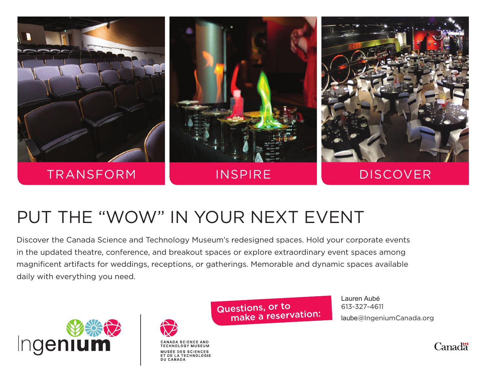

## PUT THE "WOW" IN YOUR NEXT EVENT

Discover the Canada Science and Technology Museum's redesigned spaces. Hold your corporate events in the updated theatre, conference, and breakout spaces or explore extraordinary event spaces among magnificent artifacts for weddings, receptions, or gatherings. Memorable and dynamic spaces available daily with everything you need.





DU CANADA

MUSÉE DES SCIENCES ET DE LA TECHNOLOGIE Questions, or to make a reservation: Lauren Aubé 613-327-4611 laube@IngeniumCanada.org

Canad<sup>"</sup>